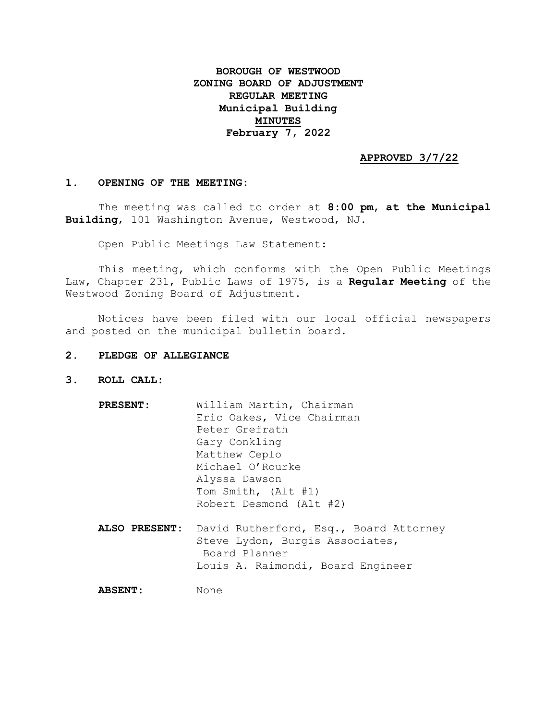# **BOROUGH OF WESTWOOD ZONING BOARD OF ADJUSTMENT REGULAR MEETING Municipal Building MINUTES February 7, 2022**

### **APPROVED 3/7/22**

#### **1. OPENING OF THE MEETING:**

The meeting was called to order at **8:00 pm**, **at the Municipal Building**, 101 Washington Avenue, Westwood, NJ.

Open Public Meetings Law Statement:

This meeting, which conforms with the Open Public Meetings Law, Chapter 231, Public Laws of 1975, is a **Regular Meeting** of the Westwood Zoning Board of Adjustment.

Notices have been filed with our local official newspapers and posted on the municipal bulletin board.

#### **2. PLEDGE OF ALLEGIANCE**

**3. ROLL CALL:**

| <b>PRESENT:</b> | William Martin, Chairman<br>Eric Oakes, Vice Chairman<br>Peter Grefrath<br>Gary Conkling<br>Matthew Ceplo<br>Michael O'Rourke<br>Alyssa Dawson |
|-----------------|------------------------------------------------------------------------------------------------------------------------------------------------|
|                 | Tom Smith, (Alt #1)<br>Robert Desmond (Alt #2)                                                                                                 |
|                 |                                                                                                                                                |
| ALSO PRESENT:   | David Rutherford, Esq., Board Attorney<br>Steve Lydon, Burgis Associates,<br>Board Planner<br>Louis A. Raimondi, Board Engineer                |
| <b>ABSENT:</b>  | None                                                                                                                                           |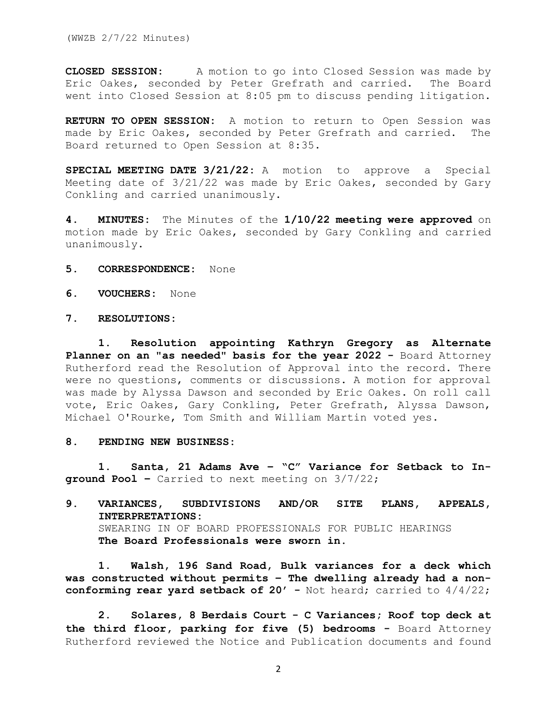(WWZB 2/7/22 Minutes)

**CLOSED SESSION:** A motion to go into Closed Session was made by Eric Oakes, seconded by Peter Grefrath and carried. The Board went into Closed Session at 8:05 pm to discuss pending litigation.

**RETURN TO OPEN SESSION:** A motion to return to Open Session was made by Eric Oakes, seconded by Peter Grefrath and carried. The Board returned to Open Session at 8:35.

**SPECIAL MEETING DATE 3/21/22:** A motion to approve a Special Meeting date of 3/21/22 was made by Eric Oakes, seconded by Gary Conkling and carried unanimously.

**4. MINUTES:** The Minutes of the **1/10/22 meeting were approved** on motion made by Eric Oakes, seconded by Gary Conkling and carried unanimously.

- **5. CORRESPONDENCE:** None
- **6. VOUCHERS:** None
- **7. RESOLUTIONS:**

**1. Resolution appointing Kathryn Gregory as Alternate Planner on an "as needed" basis for the year 2022 -** Board Attorney Rutherford read the Resolution of Approval into the record. There were no questions, comments or discussions. A motion for approval was made by Alyssa Dawson and seconded by Eric Oakes. On roll call vote, Eric Oakes, Gary Conkling, Peter Grefrath, Alyssa Dawson, Michael O'Rourke, Tom Smith and William Martin voted yes.

#### **8. PENDING NEW BUSINESS:**

**1. Santa, 21 Adams Ave – "C" Variance for Setback to Inground Pool –** Carried to next meeting on 3/7/22;

## **9. VARIANCES, SUBDIVISIONS AND/OR SITE PLANS, APPEALS, INTERPRETATIONS:** SWEARING IN OF BOARD PROFESSIONALS FOR PUBLIC HEARINGS **The Board Professionals were sworn in.**

**1. Walsh, 196 Sand Road, Bulk variances for a deck which was constructed without permits – The dwelling already had a nonconforming rear yard setback of 20' -** Not heard; carried to 4/4/22;

**2. Solares, 8 Berdais Court - C Variances; Roof top deck at the third floor, parking for five (5) bedrooms -** Board Attorney Rutherford reviewed the Notice and Publication documents and found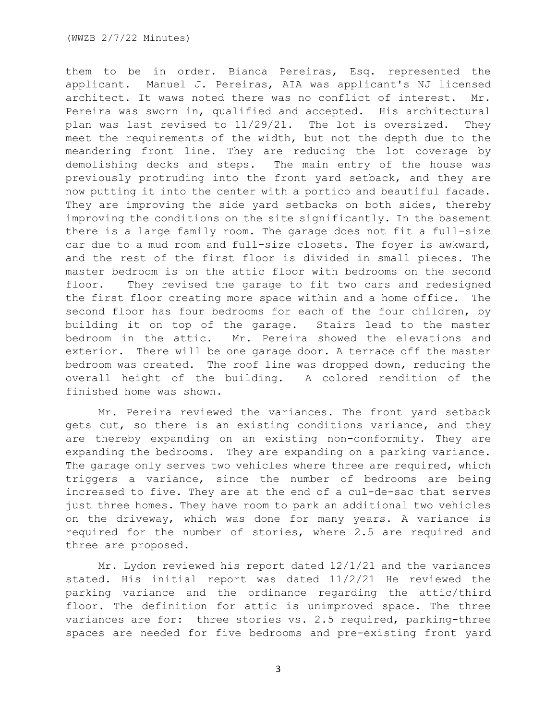them to be in order. Bianca Pereiras, Esq. represented the applicant. Manuel J. Pereiras, AIA was applicant's NJ licensed architect. It waws noted there was no conflict of interest. Mr. Pereira was sworn in, qualified and accepted. His architectural plan was last revised to 11/29/21. The lot is oversized. They meet the requirements of the width, but not the depth due to the meandering front line. They are reducing the lot coverage by demolishing decks and steps. The main entry of the house was previously protruding into the front yard setback, and they are now putting it into the center with a portico and beautiful facade. They are improving the side yard setbacks on both sides, thereby improving the conditions on the site significantly. In the basement there is a large family room. The garage does not fit a full-size car due to a mud room and full-size closets. The foyer is awkward, and the rest of the first floor is divided in small pieces. The master bedroom is on the attic floor with bedrooms on the second floor. They revised the garage to fit two cars and redesigned the first floor creating more space within and a home office. The second floor has four bedrooms for each of the four children, by building it on top of the garage. Stairs lead to the master bedroom in the attic. Mr. Pereira showed the elevations and exterior. There will be one garage door. A terrace off the master bedroom was created. The roof line was dropped down, reducing the overall height of the building. A colored rendition of the finished home was shown.

Mr. Pereira reviewed the variances. The front yard setback gets cut, so there is an existing conditions variance, and they are thereby expanding on an existing non-conformity. They are expanding the bedrooms. They are expanding on a parking variance. The garage only serves two vehicles where three are required, which triggers a variance, since the number of bedrooms are being increased to five. They are at the end of a cul-de-sac that serves just three homes. They have room to park an additional two vehicles on the driveway, which was done for many years. A variance is required for the number of stories, where 2.5 are required and three are proposed.

Mr. Lydon reviewed his report dated 12/1/21 and the variances stated. His initial report was dated 11/2/21 He reviewed the parking variance and the ordinance regarding the attic/third floor. The definition for attic is unimproved space. The three variances are for: three stories vs. 2.5 required, parking-three spaces are needed for five bedrooms and pre-existing front yard

3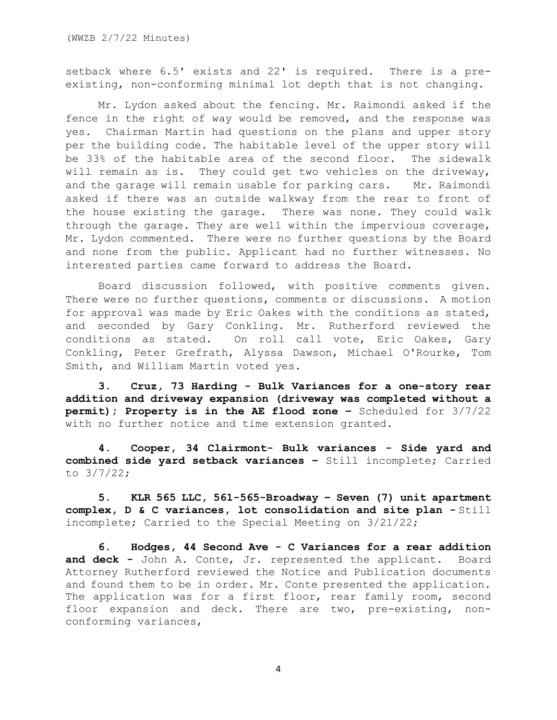setback where 6.5' exists and 22' is required. There is a preexisting, non-conforming minimal lot depth that is not changing.

Mr. Lydon asked about the fencing. Mr. Raimondi asked if the fence in the right of way would be removed, and the response was yes. Chairman Martin had questions on the plans and upper story per the building code. The habitable level of the upper story will be 33% of the habitable area of the second floor. The sidewalk will remain as is. They could get two vehicles on the driveway, and the garage will remain usable for parking cars. Mr. Raimondi asked if there was an outside walkway from the rear to front of the house existing the garage. There was none. They could walk through the garage. They are well within the impervious coverage, Mr. Lydon commented. There were no further questions by the Board and none from the public. Applicant had no further witnesses. No interested parties came forward to address the Board.

Board discussion followed, with positive comments given. There were no further questions, comments or discussions. A motion for approval was made by Eric Oakes with the conditions as stated, and seconded by Gary Conkling. Mr. Rutherford reviewed the conditions as stated. On roll call vote, Eric Oakes, Gary Conkling, Peter Grefrath, Alyssa Dawson, Michael O'Rourke, Tom Smith, and William Martin voted yes.

**3. Cruz, 73 Harding - Bulk Variances for a one-story rear addition and driveway expansion (driveway was completed without a permit); Property is in the AE flood zone –** Scheduled for 3/7/22 with no further notice and time extension granted.

**4. Cooper, 34 Clairmont- Bulk variances - Side yard and combined side yard setback variances –** Still incomplete; Carried to 3/7/22;

**5. KLR 565 LLC, 561-565-Broadway – Seven (7) unit apartment complex, D & C variances, lot consolidation and site plan -** Still incomplete; Carried to the Special Meeting on 3/21/22;

**6. Hodges, 44 Second Ave - C Variances for a rear addition and deck -** John A. Conte, Jr. represented the applicant. Board Attorney Rutherford reviewed the Notice and Publication documents and found them to be in order. Mr. Conte presented the application. The application was for a first floor, rear family room, second floor expansion and deck. There are two, pre-existing, nonconforming variances,

4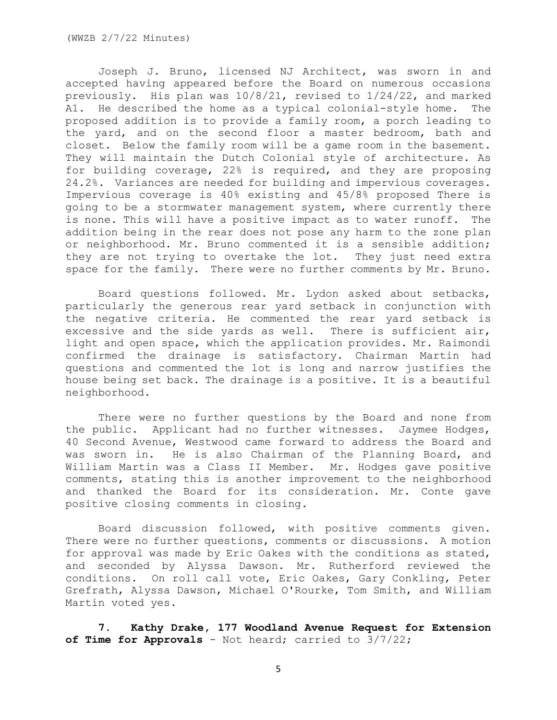Joseph J. Bruno, licensed NJ Architect, was sworn in and accepted having appeared before the Board on numerous occasions previously. His plan was 10/8/21, revised to 1/24/22, and marked A1. He described the home as a typical colonial-style home. The proposed addition is to provide a family room, a porch leading to the yard, and on the second floor a master bedroom, bath and closet. Below the family room will be a game room in the basement. They will maintain the Dutch Colonial style of architecture. As for building coverage, 22% is required, and they are proposing 24.2%. Variances are needed for building and impervious coverages. Impervious coverage is 40% existing and 45/8% proposed There is going to be a stormwater management system, where currently there is none. This will have a positive impact as to water runoff. The addition being in the rear does not pose any harm to the zone plan or neighborhood. Mr. Bruno commented it is a sensible addition; they are not trying to overtake the lot. They just need extra space for the family. There were no further comments by Mr. Bruno.

Board questions followed. Mr. Lydon asked about setbacks, particularly the generous rear yard setback in conjunction with the negative criteria. He commented the rear yard setback is excessive and the side yards as well. There is sufficient air, light and open space, which the application provides. Mr. Raimondi confirmed the drainage is satisfactory. Chairman Martin had questions and commented the lot is long and narrow justifies the house being set back. The drainage is a positive. It is a beautiful neighborhood.

There were no further questions by the Board and none from the public. Applicant had no further witnesses. Jaymee Hodges, 40 Second Avenue, Westwood came forward to address the Board and was sworn in. He is also Chairman of the Planning Board, and William Martin was a Class II Member. Mr. Hodges gave positive comments, stating this is another improvement to the neighborhood and thanked the Board for its consideration. Mr. Conte gave positive closing comments in closing.

Board discussion followed, with positive comments given. There were no further questions, comments or discussions. A motion for approval was made by Eric Oakes with the conditions as stated, and seconded by Alyssa Dawson. Mr. Rutherford reviewed the conditions. On roll call vote, Eric Oakes, Gary Conkling, Peter Grefrath, Alyssa Dawson, Michael O'Rourke, Tom Smith, and William Martin voted yes.

**7. Kathy Drake, 177 Woodland Avenue Request for Extension of Time for Approvals** - Not heard; carried to 3/7/22;